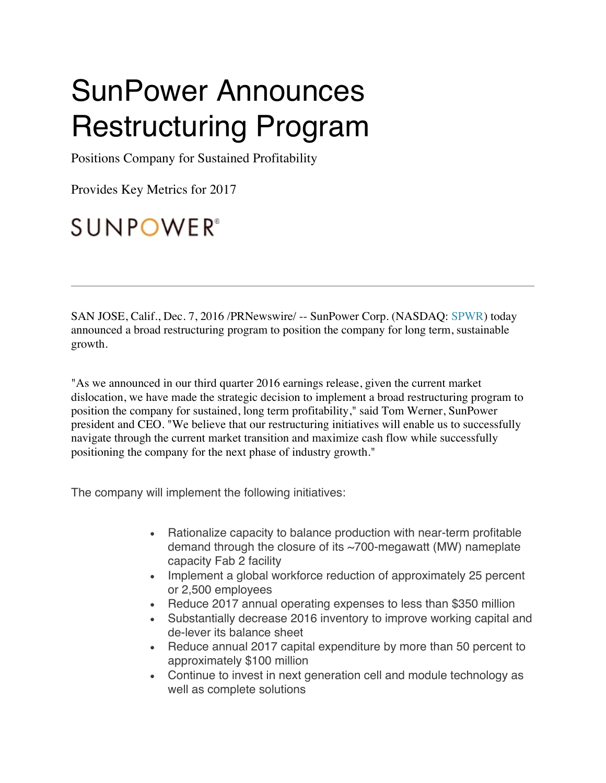# SunPower Announces Restructuring Program

Positions Company for Sustained Profitability

Provides Key Metrics for 2017

## **SUNPOWER®**

SAN JOSE, Calif., Dec. 7, 2016 /PRNewswire/ -- SunPower Corp. (NASDAQ: SPWR) today announced a broad restructuring program to position the company for long term, sustainable growth.

"As we announced in our third quarter 2016 earnings release, given the current market dislocation, we have made the strategic decision to implement a broad restructuring program to position the company for sustained, long term profitability," said Tom Werner, SunPower president and CEO. "We believe that our restructuring initiatives will enable us to successfully navigate through the current market transition and maximize cash flow while successfully positioning the company for the next phase of industry growth."

The company will implement the following initiatives:

- Rationalize capacity to balance production with near-term profitable demand through the closure of its ~700-megawatt (MW) nameplate capacity Fab 2 facility
- Implement a global workforce reduction of approximately 25 percent or 2,500 employees
- Reduce 2017 annual operating expenses to less than \$350 million
- Substantially decrease 2016 inventory to improve working capital and de-lever its balance sheet
- Reduce annual 2017 capital expenditure by more than 50 percent to approximately \$100 million
- Continue to invest in next generation cell and module technology as well as complete solutions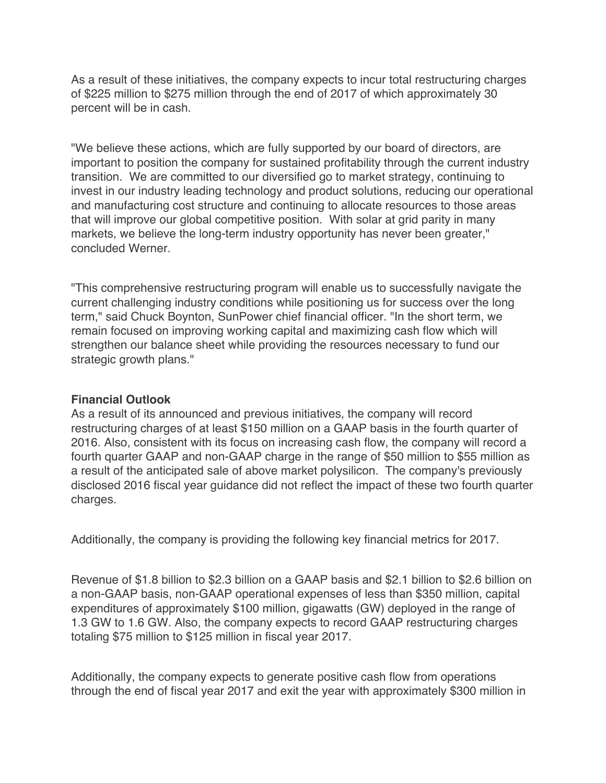As a result of these initiatives, the company expects to incur total restructuring charges of \$225 million to \$275 million through the end of 2017 of which approximately 30 percent will be in cash.

"We believe these actions, which are fully supported by our board of directors, are important to position the company for sustained profitability through the current industry transition. We are committed to our diversified go to market strategy, continuing to invest in our industry leading technology and product solutions, reducing our operational and manufacturing cost structure and continuing to allocate resources to those areas that will improve our global competitive position. With solar at grid parity in many markets, we believe the long-term industry opportunity has never been greater," concluded Werner.

"This comprehensive restructuring program will enable us to successfully navigate the current challenging industry conditions while positioning us for success over the long term," said Chuck Boynton, SunPower chief financial officer. "In the short term, we remain focused on improving working capital and maximizing cash flow which will strengthen our balance sheet while providing the resources necessary to fund our strategic growth plans."

#### **Financial Outlook**

As a result of its announced and previous initiatives, the company will record restructuring charges of at least \$150 million on a GAAP basis in the fourth quarter of 2016. Also, consistent with its focus on increasing cash flow, the company will record a fourth quarter GAAP and non-GAAP charge in the range of \$50 million to \$55 million as a result of the anticipated sale of above market polysilicon. The company's previously disclosed 2016 fiscal year guidance did not reflect the impact of these two fourth quarter charges.

Additionally, the company is providing the following key financial metrics for 2017.

Revenue of \$1.8 billion to \$2.3 billion on a GAAP basis and \$2.1 billion to \$2.6 billion on a non-GAAP basis, non-GAAP operational expenses of less than \$350 million, capital expenditures of approximately \$100 million, gigawatts (GW) deployed in the range of 1.3 GW to 1.6 GW. Also, the company expects to record GAAP restructuring charges totaling \$75 million to \$125 million in fiscal year 2017.

Additionally, the company expects to generate positive cash flow from operations through the end of fiscal year 2017 and exit the year with approximately \$300 million in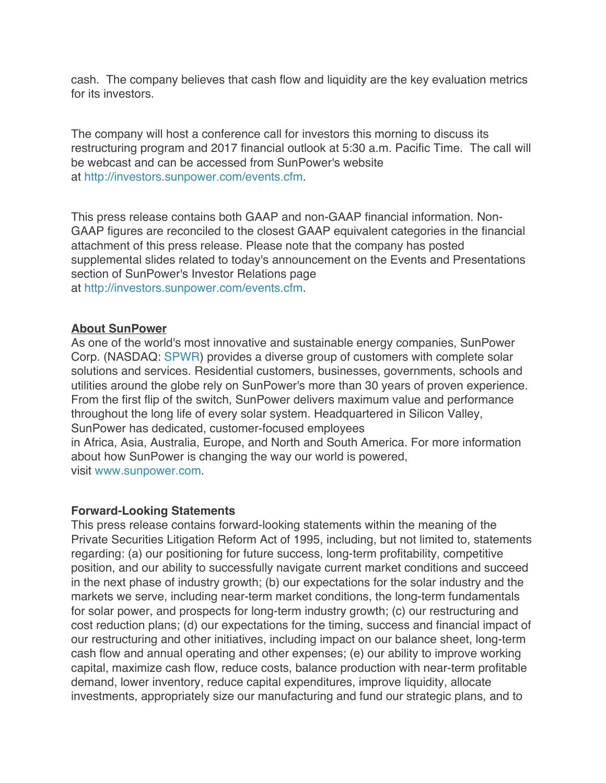cash. The company believes that cash flow and liquidity are the key evaluation metrics for its investors.

The company will host a conference call for investors this morning to discuss its restructuring program and 2017 financial outlook at 5:30 a.m. Pacific Time. The call will be webcast and can be accessed from SunPower's website at http://investors.sunpower.com/events.cfm.

This press release contains both GAAP and non-GAAP financial information. Non-GAAP figures are reconciled to the closest GAAP equivalent categories in the financial attachment of this press release. Please note that the company has posted supplemental slides related to today's announcement on the Events and Presentations section of SunPower's Investor Relations page at http://investors.sunpower.com/events.cfm.

#### **About SunPower**

As one of the world's most innovative and sustainable energy companies, SunPower Corp. (NASDAQ: SPWR) provides a diverse group of customers with complete solar solutions and services. Residential customers, businesses, governments, schools and utilities around the globe rely on SunPower's more than 30 years of proven experience. From the first flip of the switch, SunPower delivers maximum value and performance throughout the long life of every solar system. Headquartered in Silicon Valley, SunPower has dedicated, customer-focused employees in Africa, Asia, Australia, Europe, and North and South America. For more information about how SunPower is changing the way our world is powered, visit www.sunpower.com.

#### **Forward-Looking Statements**

This press release contains forward-looking statements within the meaning of the Private Securities Litigation Reform Act of 1995, including, but not limited to, statements regarding: (a) our positioning for future success, long-term profitability, competitive position, and our ability to successfully navigate current market conditions and succeed in the next phase of industry growth; (b) our expectations for the solar industry and the markets we serve, including near-term market conditions, the long-term fundamentals for solar power, and prospects for long-term industry growth; (c) our restructuring and cost reduction plans; (d) our expectations for the timing, success and financial impact of our restructuring and other initiatives, including impact on our balance sheet, long-term cash flow and annual operating and other expenses; (e) our ability to improve working capital, maximize cash flow, reduce costs, balance production with near-term profitable demand, lower inventory, reduce capital expenditures, improve liquidity, allocate investments, appropriately size our manufacturing and fund our strategic plans, and to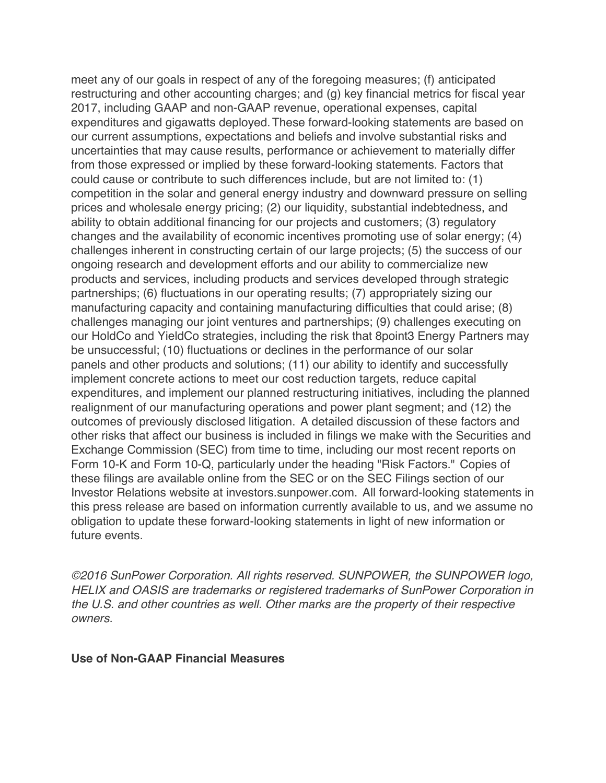meet any of our goals in respect of any of the foregoing measures; (f) anticipated restructuring and other accounting charges; and (g) key financial metrics for fiscal year 2017, including GAAP and non-GAAP revenue, operational expenses, capital expenditures and gigawatts deployed.These forward-looking statements are based on our current assumptions, expectations and beliefs and involve substantial risks and uncertainties that may cause results, performance or achievement to materially differ from those expressed or implied by these forward-looking statements. Factors that could cause or contribute to such differences include, but are not limited to: (1) competition in the solar and general energy industry and downward pressure on selling prices and wholesale energy pricing; (2) our liquidity, substantial indebtedness, and ability to obtain additional financing for our projects and customers; (3) regulatory changes and the availability of economic incentives promoting use of solar energy; (4) challenges inherent in constructing certain of our large projects; (5) the success of our ongoing research and development efforts and our ability to commercialize new products and services, including products and services developed through strategic partnerships; (6) fluctuations in our operating results; (7) appropriately sizing our manufacturing capacity and containing manufacturing difficulties that could arise; (8) challenges managing our joint ventures and partnerships; (9) challenges executing on our HoldCo and YieldCo strategies, including the risk that 8point3 Energy Partners may be unsuccessful; (10) fluctuations or declines in the performance of our solar panels and other products and solutions; (11) our ability to identify and successfully implement concrete actions to meet our cost reduction targets, reduce capital expenditures, and implement our planned restructuring initiatives, including the planned realignment of our manufacturing operations and power plant segment; and (12) the outcomes of previously disclosed litigation. A detailed discussion of these factors and other risks that affect our business is included in filings we make with the Securities and Exchange Commission (SEC) from time to time, including our most recent reports on Form 10-K and Form 10-Q, particularly under the heading "Risk Factors." Copies of these filings are available online from the SEC or on the SEC Filings section of our Investor Relations website at investors.sunpower.com. All forward-looking statements in this press release are based on information currently available to us, and we assume no obligation to update these forward-looking statements in light of new information or future events.

*©2016 SunPower Corporation. All rights reserved. SUNPOWER, the SUNPOWER logo, HELIX and OASIS are trademarks or registered trademarks of SunPower Corporation in the U.S. and other countries as well. Other marks are the property of their respective owners.*

#### **Use of Non-GAAP Financial Measures**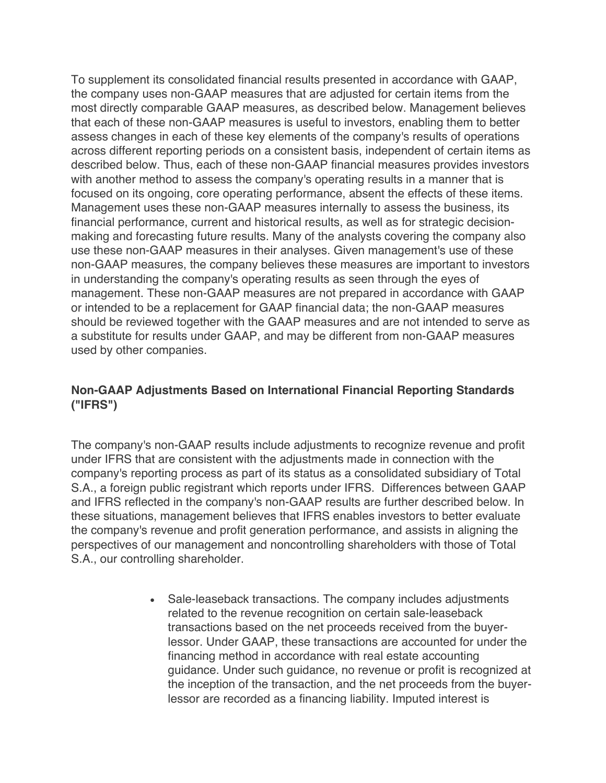To supplement its consolidated financial results presented in accordance with GAAP, the company uses non-GAAP measures that are adjusted for certain items from the most directly comparable GAAP measures, as described below. Management believes that each of these non-GAAP measures is useful to investors, enabling them to better assess changes in each of these key elements of the company's results of operations across different reporting periods on a consistent basis, independent of certain items as described below. Thus, each of these non-GAAP financial measures provides investors with another method to assess the company's operating results in a manner that is focused on its ongoing, core operating performance, absent the effects of these items. Management uses these non-GAAP measures internally to assess the business, its financial performance, current and historical results, as well as for strategic decisionmaking and forecasting future results. Many of the analysts covering the company also use these non-GAAP measures in their analyses. Given management's use of these non-GAAP measures, the company believes these measures are important to investors in understanding the company's operating results as seen through the eyes of management. These non-GAAP measures are not prepared in accordance with GAAP or intended to be a replacement for GAAP financial data; the non-GAAP measures should be reviewed together with the GAAP measures and are not intended to serve as a substitute for results under GAAP, and may be different from non-GAAP measures used by other companies.

### **Non-GAAP Adjustments Based on International Financial Reporting Standards ("IFRS")**

The company's non-GAAP results include adjustments to recognize revenue and profit under IFRS that are consistent with the adjustments made in connection with the company's reporting process as part of its status as a consolidated subsidiary of Total S.A., a foreign public registrant which reports under IFRS. Differences between GAAP and IFRS reflected in the company's non-GAAP results are further described below. In these situations, management believes that IFRS enables investors to better evaluate the company's revenue and profit generation performance, and assists in aligning the perspectives of our management and noncontrolling shareholders with those of Total S.A., our controlling shareholder.

> • Sale-leaseback transactions. The company includes adjustments related to the revenue recognition on certain sale-leaseback transactions based on the net proceeds received from the buyerlessor. Under GAAP, these transactions are accounted for under the financing method in accordance with real estate accounting guidance. Under such guidance, no revenue or profit is recognized at the inception of the transaction, and the net proceeds from the buyerlessor are recorded as a financing liability. Imputed interest is